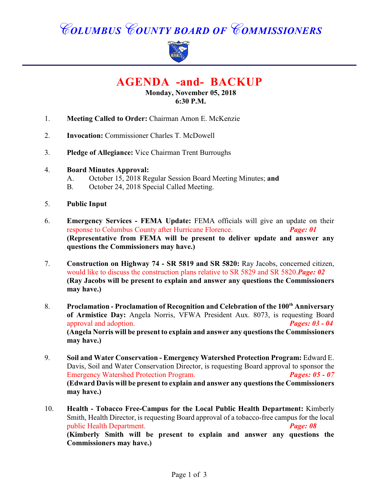# *COLUMBUS COUNTY BOARD OF COMMISSIONERS*



**AGENDA -and- BACKUP**

**Monday, November 05, 2018 6:30 P.M.**

- 1. **Meeting Called to Order:** Chairman Amon E. McKenzie
- 2. **Invocation:** Commissioner Charles T. McDowell
- 3. **Pledge of Allegiance:** Vice Chairman Trent Burroughs
- 4. **Board Minutes Approval:**
	- A. October 15, 2018 Regular Session Board Meeting Minutes; **and**
	- B. October 24, 2018 Special Called Meeting.
- 5. **Public Input**
- 6. **Emergency Services FEMA Update:** FEMA officials will give an update on their response to Columbus County after Hurricane Florence. *Page: 01* **(Representative from FEMA will be present to deliver update and answer any questions the Commissioners may have.)**
- 7. **Construction on Highway 74 SR 5819 and SR 5820:** Ray Jacobs, concerned citizen, would like to discuss the construction plans relative to SR 5829 and SR 5820.*Page: 02* **(Ray Jacobs will be present to explain and answer any questions the Commissioners may have.)**
- 8. **Proclamation Proclamation of Recognition and Celebration of the 100<sup>th</sup> Anniversary of Armistice Day:** Angela Norris, VFWA President Aux. 8073, is requesting Board approval and adoption. *Pages: 03 - 04* **(Angela Norris will be present to explain and answer any questions the Commissioners may have.)**
- 9. **Soil and Water Conservation Emergency Watershed Protection Program:** Edward E. Davis, Soil and Water Conservation Director, is requesting Board approval to sponsor the Emergency Watershed Protection Program. *Pages: 05 - 07* **(Edward Davis will be present to explain and answer any questions the Commissioners may have.)**
- 10. **Health Tobacco Free-Campus for the Local Public Health Department:** Kimberly Smith, Health Director, is requesting Board approval of a tobacco-free campus for the local public Health Department. *Page: 08* **(Kimberly Smith will be present to explain and answer any questions the Commissioners may have.)**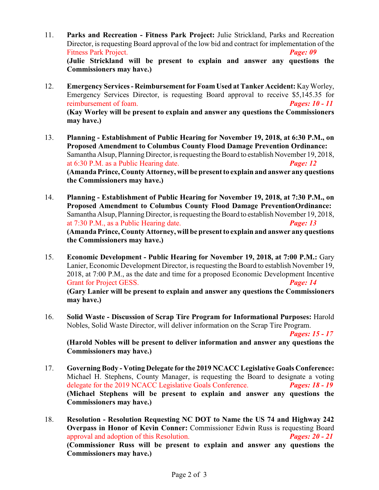- 11. **Parks and Recreation Fitness Park Project:** Julie Strickland, Parks and Recreation Director, is requesting Board approval of the low bid and contract for implementation of the Fitness Park Project. *Page: 09* **(Julie Strickland will be present to explain and answer any questions the Commissioners may have.)**
- 12. **Emergency Services Reimbursement for Foam Used at Tanker Accident:** Kay Worley, Emergency Services Director, is requesting Board approval to receive \$5,145.35 for reimbursement of foam. *Pages: 10 - 11* **(Kay Worley will be present to explain and answer any questions the Commissioners may have.)**
- 13. **Planning Establishment of Public Hearing for November 19, 2018, at 6:30 P.M., on Proposed Amendment to Columbus County Flood Damage Prevention Ordinance:** Samantha Alsup, Planning Director, is requesting the Board to establish November 19, 2018, at 6:30 P.M. as a Public Hearing date. *Page: 12* **(Amanda Prince, County Attorney, will be present to explain and answer any questions the Commissioners may have.)**
- 14. **Planning Establishment of Public Hearing for November 19, 2018, at 7:30 P.M., on Proposed Amendment to Columbus County Flood Damage PreventionOrdinance:** Samantha Alsup, Planning Director, is requesting the Board to establish November 19, 2018, at 7:30 P.M., as a Public Hearing date. *Page: 13* (Amanda Prince, County Attorney, will be present to explain and answer any questions **the Commissioners may have.)**
- 15. **Economic Development - Public Hearing for November 19, 2018, at 7:00 P.M.:** Gary Lanier, Economic Development Director, is requesting the Board to establish November 19, 2018, at 7:00 P.M., as the date and time for a proposed Economic Development Incentive Grant for Project GESS. *Page: 14* **(Gary Lanier will be present to explain and answer any questions the Commissioners may have.)**
- 16. **Solid Waste Discussion of Scrap Tire Program for Informational Purposes:** Harold Nobles, Solid Waste Director, will deliver information on the Scrap Tire Program.

*Pages: 15 - 17*

**(Harold Nobles will be present to deliver information and answer any questions the Commissioners may have.)**

- 17. **Governing Body Voting Delegate for the 2019 NCACC Legislative Goals Conference:** Michael H. Stephens, County Manager, is requesting the Board to designate a voting delegate for the 2019 NCACC Legislative Goals Conference. *Pages: 18 - 19* **(Michael Stephens will be present to explain and answer any questions the Commissioners may have.)**
- 18. **Resolution Resolution Requesting NC DOT to Name the US 74 and Highway 242 Overpass in Honor of Kevin Conner:** Commissioner Edwin Russ is requesting Board approval and adoption of this Resolution. *Pages: 20 - 21* **(Commissioner Russ will be present to explain and answer any questions the Commissioners may have.)**